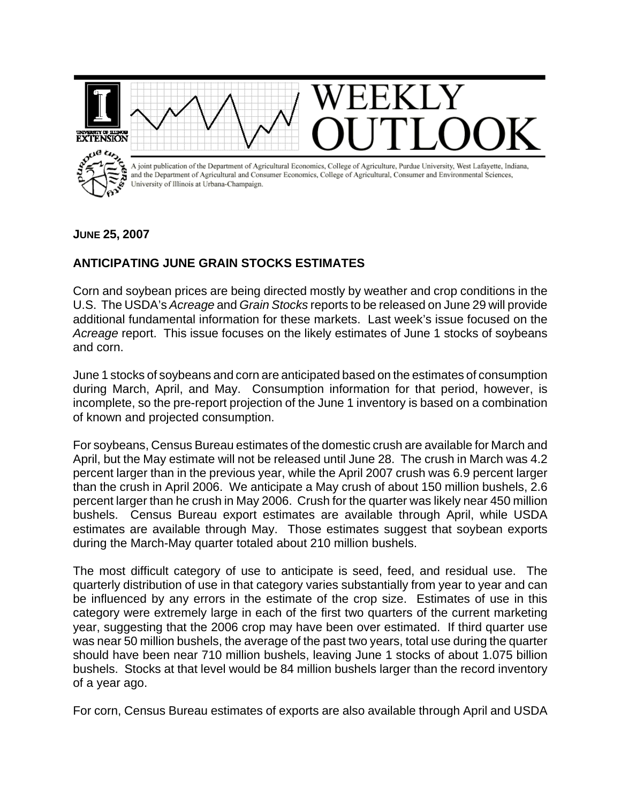

## **JUNE 25, 2007**

## **ANTICIPATING JUNE GRAIN STOCKS ESTIMATES**

Corn and soybean prices are being directed mostly by weather and crop conditions in the U.S. The USDA's *Acreage* and *Grain Stocks* reports to be released on June 29 will provide additional fundamental information for these markets. Last week's issue focused on the *Acreage* report. This issue focuses on the likely estimates of June 1 stocks of soybeans and corn.

June 1 stocks of soybeans and corn are anticipated based on the estimates of consumption during March, April, and May. Consumption information for that period, however, is incomplete, so the pre-report projection of the June 1 inventory is based on a combination of known and projected consumption.

For soybeans, Census Bureau estimates of the domestic crush are available for March and April, but the May estimate will not be released until June 28. The crush in March was 4.2 percent larger than in the previous year, while the April 2007 crush was 6.9 percent larger than the crush in April 2006. We anticipate a May crush of about 150 million bushels, 2.6 percent larger than he crush in May 2006. Crush for the quarter was likely near 450 million bushels. Census Bureau export estimates are available through April, while USDA estimates are available through May. Those estimates suggest that soybean exports during the March-May quarter totaled about 210 million bushels.

The most difficult category of use to anticipate is seed, feed, and residual use. The quarterly distribution of use in that category varies substantially from year to year and can be influenced by any errors in the estimate of the crop size. Estimates of use in this category were extremely large in each of the first two quarters of the current marketing year, suggesting that the 2006 crop may have been over estimated. If third quarter use was near 50 million bushels, the average of the past two years, total use during the quarter should have been near 710 million bushels, leaving June 1 stocks of about 1.075 billion bushels. Stocks at that level would be 84 million bushels larger than the record inventory of a year ago.

For corn, Census Bureau estimates of exports are also available through April and USDA